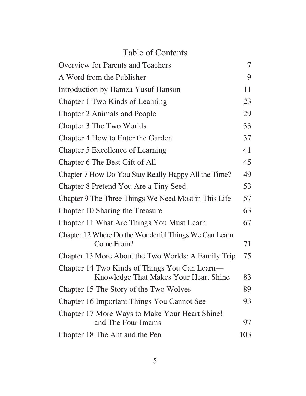## Table of Contents

| <b>Overview for Parents and Teachers</b>                                               | 7   |
|----------------------------------------------------------------------------------------|-----|
| A Word from the Publisher                                                              | 9   |
| Introduction by Hamza Yusuf Hanson                                                     | 11  |
| Chapter 1 Two Kinds of Learning                                                        | 23  |
| <b>Chapter 2 Animals and People</b>                                                    | 29  |
| Chapter 3 The Two Worlds                                                               | 33  |
| Chapter 4 How to Enter the Garden                                                      | 37  |
| Chapter 5 Excellence of Learning                                                       | 41  |
| Chapter 6 The Best Gift of All                                                         | 45  |
| Chapter 7 How Do You Stay Really Happy All the Time?                                   | 49  |
| Chapter 8 Pretend You Are a Tiny Seed                                                  | 53  |
| Chapter 9 The Three Things We Need Most in This Life                                   | 57  |
| Chapter 10 Sharing the Treasure                                                        | 63  |
| Chapter 11 What Are Things You Must Learn                                              | 67  |
| Chapter 12 Where Do the Wonderful Things We Can Learn<br>Come From?                    | 71  |
| Chapter 13 More About the Two Worlds: A Family Trip                                    | 75  |
| Chapter 14 Two Kinds of Things You Can Learn—<br>Knowledge That Makes Your Heart Shine | 83  |
| Chapter 15 The Story of the Two Wolves                                                 | 89  |
| Chapter 16 Important Things You Cannot See                                             | 93  |
| Chapter 17 More Ways to Make Your Heart Shine!<br>and The Four Imams                   | 97  |
| Chapter 18 The Ant and the Pen                                                         | 103 |